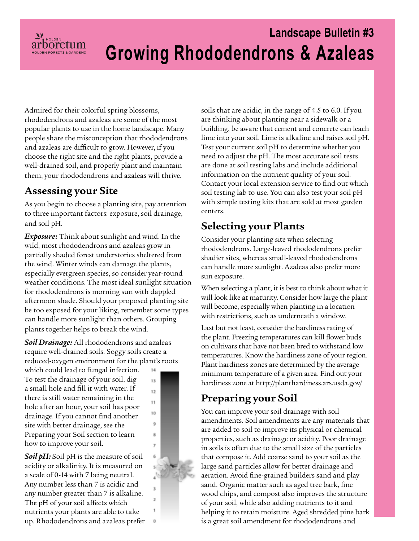# **Landscape Bulletin #3 Growing Rhododendrons & Azaleas**

Admired for their colorful spring blossoms, rhododendrons and azaleas are some of the most popular plants to use in the home landscape. Many people share the misconception that rhododendrons and azaleas are difficult to grow. However, if you choose the right site and the right plants, provide a well-drained soil, and properly plant and maintain them, your rhododendrons and azaleas will thrive.

### **Assessing your Site**

 $\frac{\mathcal{L}^{\prime}}{arbo^{\text{re}}$ 

As you begin to choose a planting site, pay attention to three important factors: exposure, soil drainage, and soil pH.

*Exposure:* Think about sunlight and wind. In the wild, most rhododendrons and azaleas grow in partially shaded forest understories sheltered from the wind. Winter winds can damage the plants, especially evergreen species, so consider year-round weather conditions. The most ideal sunlight situation for rhododendrons is morning sun with dappled afternoon shade. Should your proposed planting site be too exposed for your liking, remember some types can handle more sunlight than others. Grouping plants together helps to break the wind.

*Soil Drainage:* All rhododendrons and azaleas require well-drained soils. Soggy soils create a reduced-oxygen environment for the plant's roots

which could lead to fungal infection. To test the drainage of your soil, dig a small hole and fill it with water. If there is still water remaining in the hole after an hour, your soil has poor drainage. If you cannot find another site with better drainage, see the Preparing your Soil section to learn how to improve your soil.

*Soil pH:* Soil pH is the measure of soil acidity or alkalinity. It is measured on a scale of 0-14 with 7 being neutral. Any number less than 7 is acidic and any number greater than 7 is alkaline. The pH of your soil affects which nutrients your plants are able to take up. Rhododendrons and azaleas prefer



14

soils that are acidic, in the range of 4.5 to 6.0. If you are thinking about planting near a sidewalk or a building, be aware that cement and concrete can leach lime into your soil. Lime is alkaline and raises soil pH. Test your current soil pH to determine whether you need to adjust the pH. The most accurate soil tests are done at soil testing labs and include additional information on the nutrient quality of your soil. Contact your local extension service to find out which soil testing lab to use. You can also test your soil pH with simple testing kits that are sold at most garden centers.

#### **Selecting your Plants**

Consider your planting site when selecting rhododendrons. Large-leaved rhododendrons prefer shadier sites, whereas small-leaved rhododendrons can handle more sunlight. Azaleas also prefer more sun exposure.

When selecting a plant, it is best to think about what it will look like at maturity. Consider how large the plant will become, especially when planting in a location with restrictions, such as underneath a window.

Last but not least, consider the hardiness rating of the plant. Freezing temperatures can kill flower buds on cultivars that have not been bred to withstand low temperatures. Know the hardiness zone of your region. Plant hardiness zones are determined by the average minimum temperature of a given area. Find out your hardiness zone at<http://planthardiness.ars.usda.gov/>

## **Preparing your Soil**

You can improve your soil drainage with soil amendments. Soil amendments are any materials that are added to soil to improve its physical or chemical properties, such as drainage or acidity. Poor drainage in soils is often due to the small size of the particles that compose it. Add coarse sand to your soil as the large sand particles allow for better drainage and aeration. Avoid fine-grained builders sand and play sand. Organic matter such as aged tree bark, fine wood chips, and compost also improves the structure of your soil, while also adding nutrients to it and helping it to retain moisture. Aged shredded pine bark is a great soil amendment for rhododendrons and